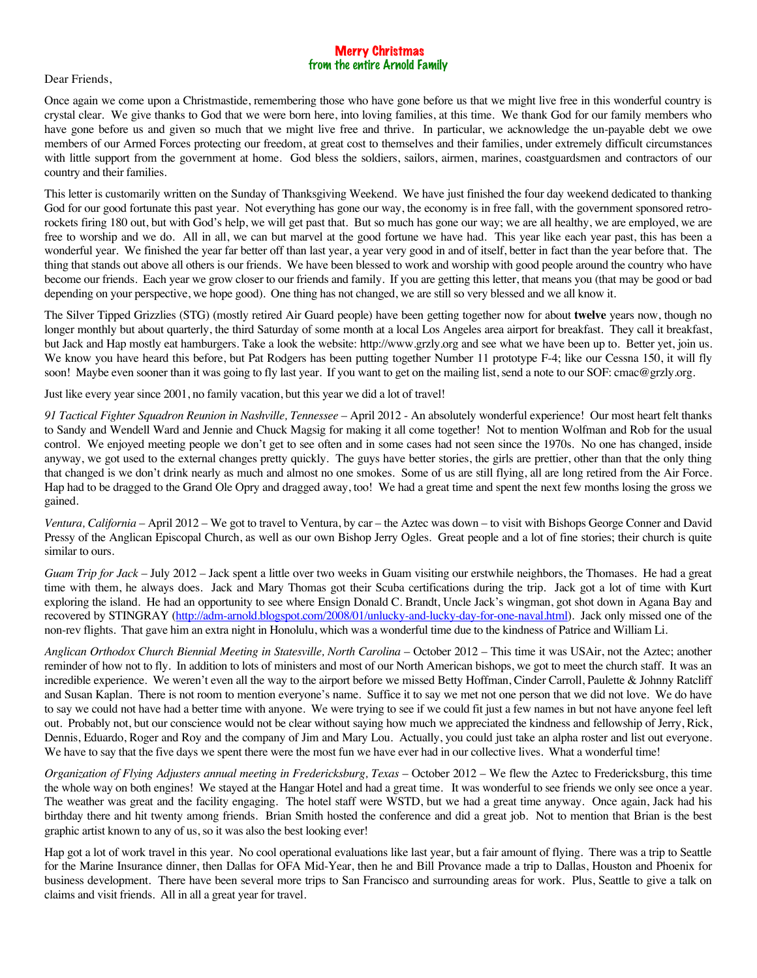## Merry Christmas from the entire Arnold Family

## Dear Friends,

Once again we come upon a Christmastide, remembering those who have gone before us that we might live free in this wonderful country is crystal clear. We give thanks to God that we were born here, into loving families, at this time. We thank God for our family members who have gone before us and given so much that we might live free and thrive. In particular, we acknowledge the un-payable debt we owe members of our Armed Forces protecting our freedom, at great cost to themselves and their families, under extremely difficult circumstances with little support from the government at home. God bless the soldiers, sailors, airmen, marines, coastguardsmen and contractors of our country and their families.

This letter is customarily written on the Sunday of Thanksgiving Weekend. We have just finished the four day weekend dedicated to thanking God for our good fortunate this past year. Not everything has gone our way, the economy is in free fall, with the government sponsored retrorockets firing 180 out, but with God's help, we will get past that. But so much has gone our way; we are all healthy, we are employed, we are free to worship and we do. All in all, we can but marvel at the good fortune we have had. This year like each year past, this has been a wonderful year. We finished the year far better off than last year, a year very good in and of itself, better in fact than the year before that. The thing that stands out above all others is our friends. We have been blessed to work and worship with good people around the country who have become our friends. Each year we grow closer to our friends and family. If you are getting this letter, that means you (that may be good or bad depending on your perspective, we hope good). One thing has not changed, we are still so very blessed and we all know it.

The Silver Tipped Grizzlies (STG) (mostly retired Air Guard people) have been getting together now for about **twelve** years now, though no longer monthly but about quarterly, the third Saturday of some month at a local Los Angeles area airport for breakfast. They call it breakfast, but Jack and Hap mostly eat hamburgers. Take a look the website: http://www.grzly.org and see what we have been up to. Better yet, join us. We know you have heard this before, but Pat Rodgers has been putting together Number 11 prototype F-4; like our Cessna 150, it will fly soon! Maybe even sooner than it was going to fly last year. If you want to get on the mailing list, send a note to our SOF: cmac@grzly.org.

Just like every year since 2001, no family vacation, but this year we did a lot of travel!

*91 Tactical Fighter Squadron Reunion in Nashville, Tennessee* – April 2012 - An absolutely wonderful experience! Our most heart felt thanks to Sandy and Wendell Ward and Jennie and Chuck Magsig for making it all come together! Not to mention Wolfman and Rob for the usual control. We enjoyed meeting people we don't get to see often and in some cases had not seen since the 1970s. No one has changed, inside anyway, we got used to the external changes pretty quickly. The guys have better stories, the girls are prettier, other than that the only thing that changed is we don't drink nearly as much and almost no one smokes. Some of us are still flying, all are long retired from the Air Force. Hap had to be dragged to the Grand Ole Opry and dragged away, too! We had a great time and spent the next few months losing the gross we gained.

*Ventura, California* – April 2012 – We got to travel to Ventura, by car – the Aztec was down – to visit with Bishops George Conner and David Pressy of the Anglican Episcopal Church, as well as our own Bishop Jerry Ogles. Great people and a lot of fine stories; their church is quite similar to ours.

*Guam Trip for Jack* – July 2012 – Jack spent a little over two weeks in Guam visiting our erstwhile neighbors, the Thomases. He had a great time with them, he always does. Jack and Mary Thomas got their Scuba certifications during the trip. Jack got a lot of time with Kurt exploring the island. He had an opportunity to see where Ensign Donald C. Brandt, Uncle Jack's wingman, got shot down in Agana Bay and recovered by STINGRAY (http://adm-arnold.blogspot.com/2008/01/unlucky-and-lucky-day-for-one-naval.html). Jack only missed one of the non-rev flights. That gave him an extra night in Honolulu, which was a wonderful time due to the kindness of Patrice and William Li.

*Anglican Orthodox Church Biennial Meeting in Statesville, North Carolina* – October 2012 – This time it was USAir, not the Aztec; another reminder of how not to fly. In addition to lots of ministers and most of our North American bishops, we got to meet the church staff. It was an incredible experience. We weren't even all the way to the airport before we missed Betty Hoffman, Cinder Carroll, Paulette & Johnny Ratcliff and Susan Kaplan. There is not room to mention everyone's name. Suffice it to say we met not one person that we did not love. We do have to say we could not have had a better time with anyone. We were trying to see if we could fit just a few names in but not have anyone feel left out. Probably not, but our conscience would not be clear without saying how much we appreciated the kindness and fellowship of Jerry, Rick, Dennis, Eduardo, Roger and Roy and the company of Jim and Mary Lou. Actually, you could just take an alpha roster and list out everyone. We have to say that the five days we spent there were the most fun we have ever had in our collective lives. What a wonderful time!

*Organization of Flying Adjusters annual meeting in Fredericksburg, Texas* – October 2012 – We flew the Aztec to Fredericksburg, this time the whole way on both engines! We stayed at the Hangar Hotel and had a great time. It was wonderful to see friends we only see once a year. The weather was great and the facility engaging. The hotel staff were WSTD, but we had a great time anyway. Once again, Jack had his birthday there and hit twenty among friends. Brian Smith hosted the conference and did a great job. Not to mention that Brian is the best graphic artist known to any of us, so it was also the best looking ever!

Hap got a lot of work travel in this year. No cool operational evaluations like last year, but a fair amount of flying. There was a trip to Seattle for the Marine Insurance dinner, then Dallas for OFA Mid-Year, then he and Bill Provance made a trip to Dallas, Houston and Phoenix for business development. There have been several more trips to San Francisco and surrounding areas for work. Plus, Seattle to give a talk on claims and visit friends. All in all a great year for travel.